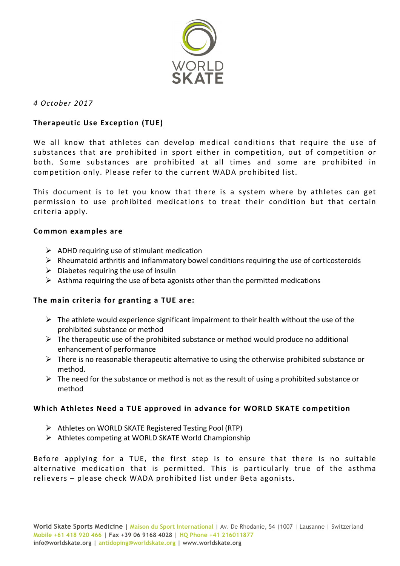

#### *4 October 2017*

## **Therapeutic Use Exception (TUE)**

We all know that athletes can develop medical conditions that require the use of substances that are prohibited in sport either in competition, out of competition or both. Some substances are prohibited at all times and some are prohibited in competition only. Please refer to the current WADA prohibited list.

This document is to let you know that there is a system where by athletes can get permission to use prohibited medications to treat their condition but that certain criteria apply.

#### **Common examples are**

- $\triangleright$  ADHD requiring use of stimulant medication
- $\triangleright$  Rheumatoid arthritis and inflammatory bowel conditions requiring the use of corticosteroids
- $\triangleright$  Diabetes requiring the use of insulin
- $\triangleright$  Asthma requiring the use of beta agonists other than the permitted medications

## The main criteria for granting a TUE are:

- $\triangleright$  The athlete would experience significant impairment to their health without the use of the prohibited substance or method
- $\triangleright$  The therapeutic use of the prohibited substance or method would produce no additional enhancement of performance
- $\triangleright$  There is no reasonable therapeutic alternative to using the otherwise prohibited substance or method.
- $\triangleright$  The need for the substance or method is not as the result of using a prohibited substance or method

## Which Athletes Need a TUE approved in advance for WORLD SKATE competition

- $\triangleright$  Athletes on WORLD SKATE Registered Testing Pool (RTP)
- $\triangleright$  Athletes competing at WORLD SKATE World Championship

Before applying for a TUE, the first step is to ensure that there is no suitable alternative medication that is permitted. This is particularly true of the asthma relievers - please check WADA prohibited list under Beta agonists.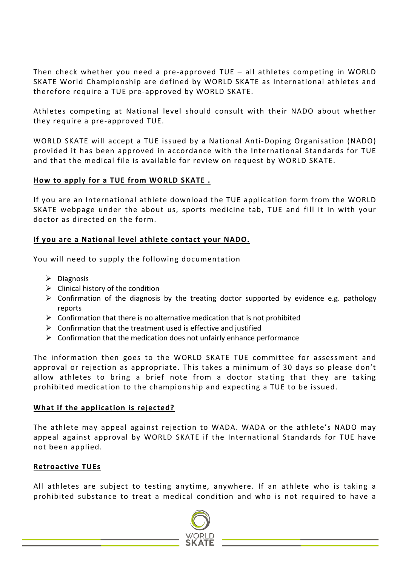Then check whether you need a pre-approved  $TUE - all$  athletes competing in WORLD SKATE World Championship are defined by WORLD SKATE as International athletes and therefore require a TUE pre-approved by WORLD SKATE.

Athletes competing at National level should consult with their NADO about whether they require a pre-approved TUE.

WORLD SKATE will accept a TUE issued by a National Anti-Doping Organisation (NADO) provided it has been approved in accordance with the International Standards for TUE and that the medical file is available for review on request by WORLD SKATE.

## How to apply for a TUE from WORLD SKATE .

If you are an International athlete download the TUE application form from the WORLD SKATE webpage under the about us, sports medicine tab, TUE and fill it in with your doctor as directed on the form.

# If you are a National level athlete contact your NADO.

You will need to supply the following documentation

- $\triangleright$  Diagnosis
- $\triangleright$  Clinical history of the condition
- $\triangleright$  Confirmation of the diagnosis by the treating doctor supported by evidence e.g. pathology reports
- $\triangleright$  Confirmation that there is no alternative medication that is not prohibited
- $\triangleright$  Confirmation that the treatment used is effective and justified
- $\triangleright$  Confirmation that the medication does not unfairly enhance performance

The information then goes to the WORLD SKATE TUE committee for assessment and approval or rejection as appropriate. This takes a minimum of 30 days so please don't allow athletes to bring a brief note from a doctor stating that they are taking prohibited medication to the championship and expecting a TUE to be issued.

## **What if the application is rejected?**

The athlete may appeal against rejection to WADA. WADA or the athlete's NADO may appeal against approval by WORLD SKATE if the International Standards for TUE have not been applied.

## **Retroactive TUEs**

All athletes are subject to testing anytime, anywhere. If an athlete who is taking a prohibited substance to treat a medical condition and who is not required to have a

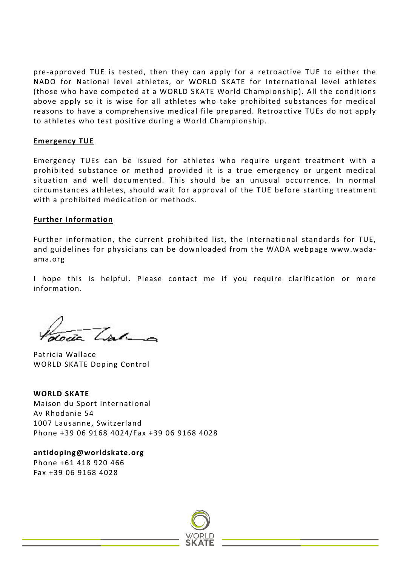pre-approved TUE is tested, then they can apply for a retroactive TUE to either the NADO for National level athletes, or WORLD SKATE for International level athletes (those who have competed at a WORLD SKATE World Championship). All the conditions above apply so it is wise for all athletes who take prohibited substances for medical reasons to have a comprehensive medical file prepared. Retroactive TUEs do not apply to athletes who test positive during a World Championship.

#### **Emergency TUE**

Emergency TUEs can be issued for athletes who require urgent treatment with a prohibited substance or method provided it is a true emergency or urgent medical situation and well documented. This should be an unusual occurrence. In normal circumstances athletes, should wait for approval of the TUE before starting treatment with a prohibited medication or methods.

#### **Further Information**

Further information, the current prohibited list, the International standards for TUE, and guidelines for physicians can be downloaded from the WADA webpage www.wadaama.org

I hope this is helpful. Please contact me if you require clarification or more information.

 $\frac{1}{\sqrt{2}}$   $\frac{1}{\sqrt{2}}$ 

Patricia Wallace WORLD SKATE Doping Control

**WORLD SKATE** Maison du Sport International Av Rhodanie 54 1007 Lausanne, Switzerland Phone +39 06 9168 4024/Fax +39 06 9168 4028

**antidoping@worldskate.org** Phone +61 418 920 466 Fax +39 06 9168 4028

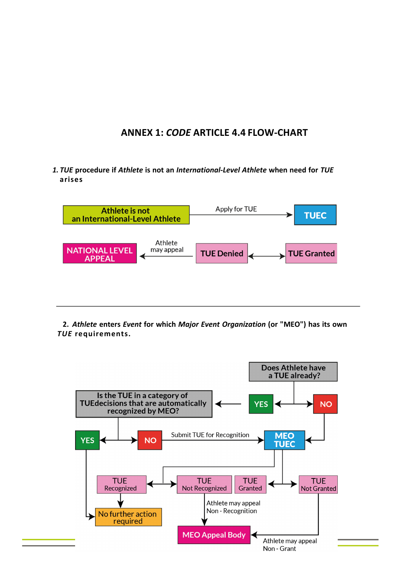# **ANNEX 1: CODE ARTICLE 4.4 FLOW-CHART**

*1. TUE* **procedure if** *Athlete* **is not an** *International-Level Athlete* **when need for** *TUE* **arises**



**2.** *Athlete* **enters** *Event* **for which** *Major Event Organization* **(or "MEO") has its own** *TUE* **requirements.**

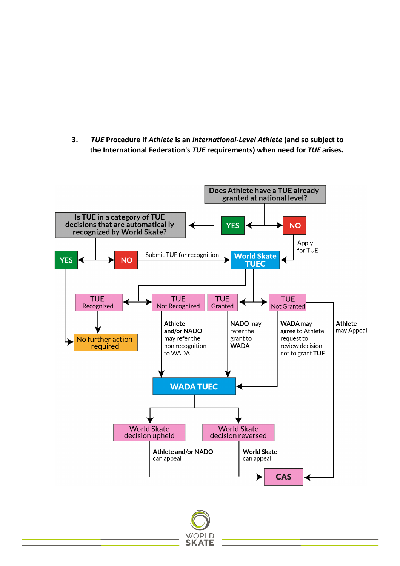**3. TUE** Procedure if Athlete is an International-Level Athlete (and so subject to **the International Federation's TUE requirements) when need for TUE arises.**